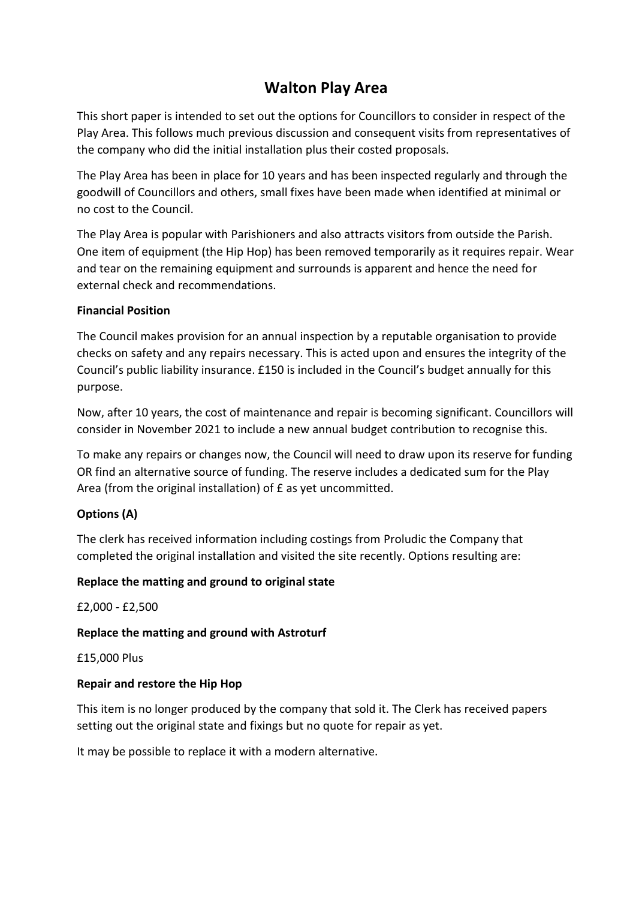# **Walton Play Area**

This short paper is intended to set out the options for Councillors to consider in respect of the Play Area. This follows much previous discussion and consequent visits from representatives of the company who did the initial installation plus their costed proposals.

The Play Area has been in place for 10 years and has been inspected regularly and through the goodwill of Councillors and others, small fixes have been made when identified at minimal or no cost to the Council.

The Play Area is popular with Parishioners and also attracts visitors from outside the Parish. One item of equipment (the Hip Hop) has been removed temporarily as it requires repair. Wear and tear on the remaining equipment and surrounds is apparent and hence the need for external check and recommendations.

### **Financial Position**

The Council makes provision for an annual inspection by a reputable organisation to provide checks on safety and any repairs necessary. This is acted upon and ensures the integrity of the Council's public liability insurance. £150 is included in the Council's budget annually for this purpose.

Now, after 10 years, the cost of maintenance and repair is becoming significant. Councillors will consider in November 2021 to include a new annual budget contribution to recognise this.

To make any repairs or changes now, the Council will need to draw upon its reserve for funding OR find an alternative source of funding. The reserve includes a dedicated sum for the Play Area (from the original installation) of £ as yet uncommitted.

# **Options (A)**

The clerk has received information including costings from Proludic the Company that completed the original installation and visited the site recently. Options resulting are:

### **Replace the matting and ground to original state**

£2,000 - £2,500

### **Replace the matting and ground with Astroturf**

£15,000 Plus

### **Repair and restore the Hip Hop**

This item is no longer produced by the company that sold it. The Clerk has received papers setting out the original state and fixings but no quote for repair as yet.

It may be possible to replace it with a modern alternative.